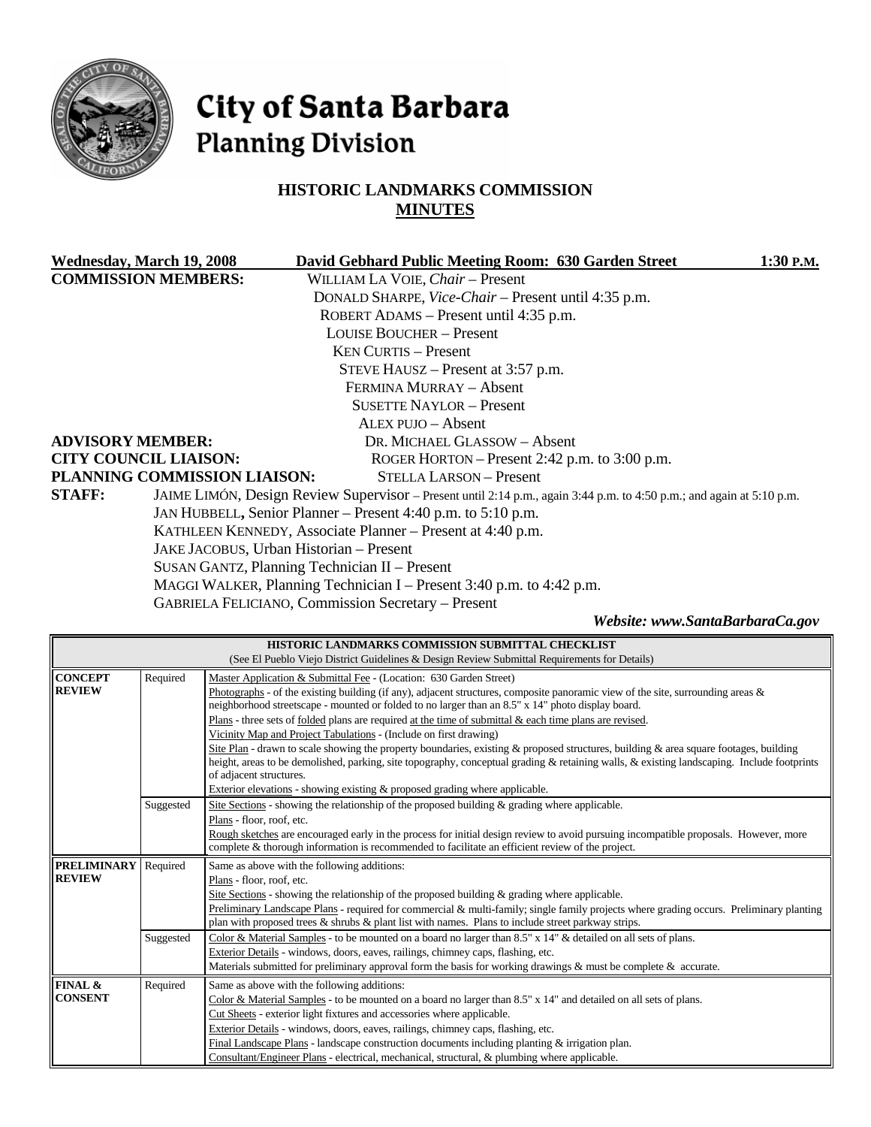

# City of Santa Barbara **Planning Division**

# **HISTORIC LANDMARKS COMMISSION MINUTES**

| Wednesday, March 19, 2008    |                              | David Gebhard Public Meeting Room: 630 Garden Street                                                                  | $1:30$ P.M. |
|------------------------------|------------------------------|-----------------------------------------------------------------------------------------------------------------------|-------------|
| <b>COMMISSION MEMBERS:</b>   |                              | WILLIAM LA VOIE, Chair - Present                                                                                      |             |
|                              |                              | DONALD SHARPE, Vice-Chair - Present until 4:35 p.m.                                                                   |             |
|                              |                              | ROBERT ADAMS - Present until 4:35 p.m.                                                                                |             |
|                              |                              | <b>LOUISE BOUCHER – Present</b>                                                                                       |             |
|                              |                              | <b>KEN CURTIS – Present</b>                                                                                           |             |
|                              |                              | STEVE HAUSZ - Present at 3:57 p.m.                                                                                    |             |
|                              |                              | FERMINA MURRAY - Absent                                                                                               |             |
|                              |                              | <b>SUSETTE NAYLOR - Present</b>                                                                                       |             |
|                              |                              | ALEX PUJO - Absent                                                                                                    |             |
| <b>ADVISORY MEMBER:</b>      |                              | DR. MICHAEL GLASSOW - Absent                                                                                          |             |
| <b>CITY COUNCIL LIAISON:</b> |                              | ROGER HORTON – Present 2:42 p.m. to $3:00$ p.m.                                                                       |             |
|                              | PLANNING COMMISSION LIAISON: | <b>STELLA LARSON – Present</b>                                                                                        |             |
| <b>STAFF:</b>                |                              | JAIME LIMÓN, Design Review Supervisor – Present until 2:14 p.m., again 3:44 p.m. to 4:50 p.m.; and again at 5:10 p.m. |             |
|                              |                              | JAN HUBBELL, Senior Planner - Present 4:40 p.m. to 5:10 p.m.                                                          |             |
|                              |                              | KATHLEEN KENNEDY, Associate Planner – Present at 4:40 p.m.                                                            |             |
|                              |                              | JAKE JACOBUS, Urban Historian - Present                                                                               |             |
|                              |                              | SUSAN GANTZ, Planning Technician II - Present                                                                         |             |
|                              |                              | MAGGI WALKER, Planning Technician I – Present 3:40 p.m. to 4:42 p.m.                                                  |             |
|                              |                              | <b>GABRIELA FELICIANO, Commission Secretary - Present</b>                                                             |             |

*Website: www.SantaBarbaraCa.gov* 

| HISTORIC LANDMARKS COMMISSION SUBMITTAL CHECKLIST |           |                                                                                                                                            |  |  |
|---------------------------------------------------|-----------|--------------------------------------------------------------------------------------------------------------------------------------------|--|--|
|                                                   |           | (See El Pueblo Viejo District Guidelines & Design Review Submittal Requirements for Details)                                               |  |  |
| <b>CONCEPT</b>                                    | Required  | Master Application & Submittal Fee - (Location: 630 Garden Street)                                                                         |  |  |
| <b>REVIEW</b>                                     |           | Photographs - of the existing building (if any), adjacent structures, composite panoramic view of the site, surrounding areas $\&$         |  |  |
|                                                   |           | neighborhood streetscape - mounted or folded to no larger than an 8.5" x 14" photo display board.                                          |  |  |
|                                                   |           | Plans - three sets of <u>folded</u> plans are required at the time of submittal $\&$ each time plans are revised.                          |  |  |
|                                                   |           | Vicinity Map and Project Tabulations - (Include on first drawing)                                                                          |  |  |
|                                                   |           | Site Plan - drawn to scale showing the property boundaries, existing & proposed structures, building & area square footages, building      |  |  |
|                                                   |           | height, areas to be demolished, parking, site topography, conceptual grading & retaining walls, & existing landscaping. Include footprints |  |  |
|                                                   |           | of adjacent structures.                                                                                                                    |  |  |
|                                                   |           | Exterior elevations - showing existing & proposed grading where applicable.                                                                |  |  |
|                                                   | Suggested | Site Sections - showing the relationship of the proposed building $\&$ grading where applicable.                                           |  |  |
|                                                   |           | Plans - floor, roof, etc.                                                                                                                  |  |  |
|                                                   |           | Rough sketches are encouraged early in the process for initial design review to avoid pursuing incompatible proposals. However, more       |  |  |
|                                                   |           | complete & thorough information is recommended to facilitate an efficient review of the project.                                           |  |  |
| <b>PRELIMINARY</b>                                | Required  | Same as above with the following additions:                                                                                                |  |  |
| <b>REVIEW</b>                                     |           | Plans - floor, roof, etc.                                                                                                                  |  |  |
|                                                   |           | Site Sections - showing the relationship of the proposed building $\&$ grading where applicable.                                           |  |  |
|                                                   |           | Preliminary Landscape Plans - required for commercial & multi-family; single family projects where grading occurs. Preliminary planting    |  |  |
|                                                   |           | plan with proposed trees $\&$ shrubs $\&$ plant list with names. Plans to include street parkway strips.                                   |  |  |
|                                                   | Suggested | Color & Material Samples - to be mounted on a board no larger than 8.5" x 14" & detailed on all sets of plans.                             |  |  |
|                                                   |           | Exterior Details - windows, doors, eaves, railings, chimney caps, flashing, etc.                                                           |  |  |
|                                                   |           | Materials submitted for preliminary approval form the basis for working drawings $\&$ must be complete $\&$ accurate.                      |  |  |
| FINAL &                                           | Required  | Same as above with the following additions:                                                                                                |  |  |
| <b>CONSENT</b>                                    |           | Color & Material Samples - to be mounted on a board no larger than 8.5" x 14" and detailed on all sets of plans.                           |  |  |
|                                                   |           | Cut Sheets - exterior light fixtures and accessories where applicable.                                                                     |  |  |
|                                                   |           | Exterior Details - windows, doors, eaves, railings, chimney caps, flashing, etc.                                                           |  |  |
|                                                   |           | Final Landscape Plans - landscape construction documents including planting $&$ irrigation plan.                                           |  |  |
|                                                   |           | Consultant/Engineer Plans - electrical, mechanical, structural, & plumbing where applicable.                                               |  |  |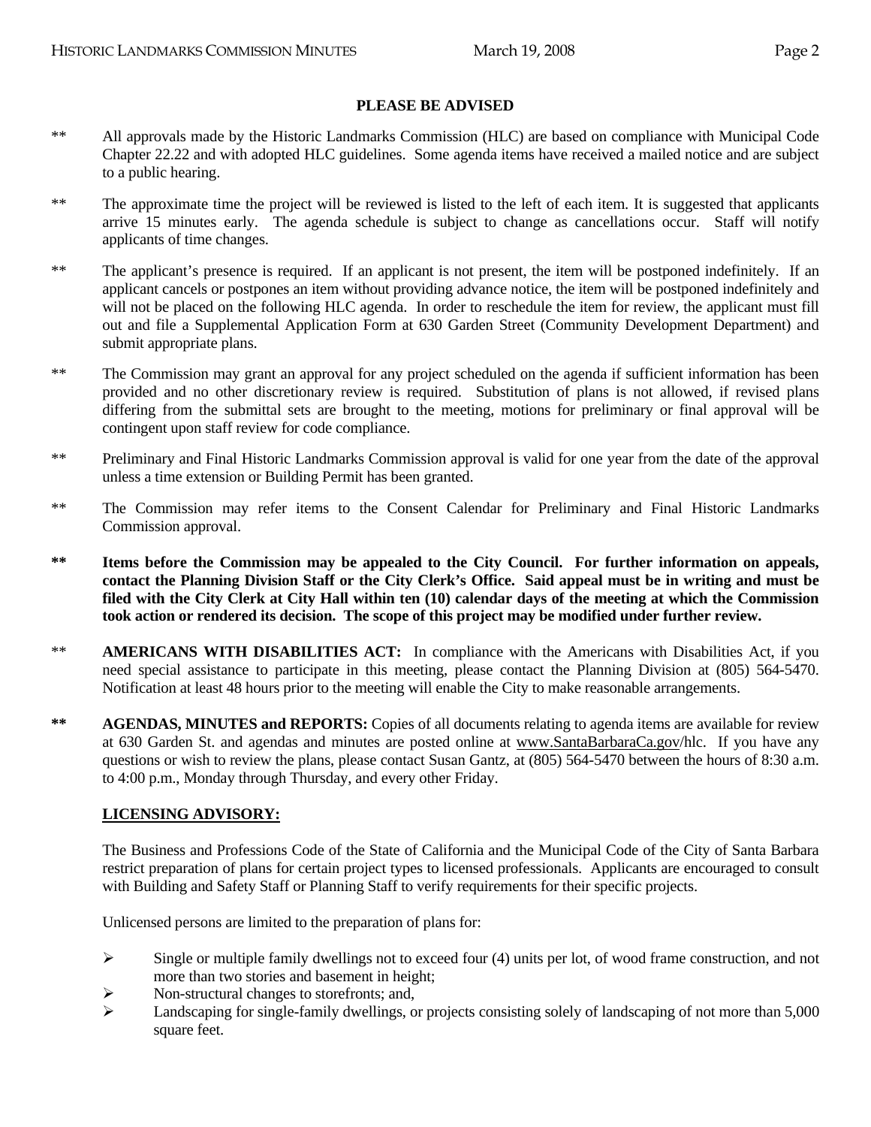#### **PLEASE BE ADVISED**

- \*\* All approvals made by the Historic Landmarks Commission (HLC) are based on compliance with Municipal Code Chapter 22.22 and with adopted HLC guidelines. Some agenda items have received a mailed notice and are subject to a public hearing.
- \*\* The approximate time the project will be reviewed is listed to the left of each item. It is suggested that applicants arrive 15 minutes early. The agenda schedule is subject to change as cancellations occur. Staff will notify applicants of time changes.
- \*\* The applicant's presence is required. If an applicant is not present, the item will be postponed indefinitely. If an applicant cancels or postpones an item without providing advance notice, the item will be postponed indefinitely and will not be placed on the following HLC agenda. In order to reschedule the item for review, the applicant must fill out and file a Supplemental Application Form at 630 Garden Street (Community Development Department) and submit appropriate plans.
- \*\* The Commission may grant an approval for any project scheduled on the agenda if sufficient information has been provided and no other discretionary review is required. Substitution of plans is not allowed, if revised plans differing from the submittal sets are brought to the meeting, motions for preliminary or final approval will be contingent upon staff review for code compliance.
- \*\* Preliminary and Final Historic Landmarks Commission approval is valid for one year from the date of the approval unless a time extension or Building Permit has been granted.
- \*\* The Commission may refer items to the Consent Calendar for Preliminary and Final Historic Landmarks Commission approval.
- **\*\* Items before the Commission may be appealed to the City Council. For further information on appeals, contact the Planning Division Staff or the City Clerk's Office. Said appeal must be in writing and must be filed with the City Clerk at City Hall within ten (10) calendar days of the meeting at which the Commission took action or rendered its decision. The scope of this project may be modified under further review.**
- \*\* **AMERICANS WITH DISABILITIES ACT:** In compliance with the Americans with Disabilities Act, if you need special assistance to participate in this meeting, please contact the Planning Division at (805) 564-5470. Notification at least 48 hours prior to the meeting will enable the City to make reasonable arrangements.
- **\*\* AGENDAS, MINUTES and REPORTS:** Copies of all documents relating to agenda items are available for review at 630 Garden St. and agendas and minutes are posted online at www.SantaBarbaraCa.gov/hlc. If you have any questions or wish to review the plans, please contact Susan Gantz, at (805) 564-5470 between the hours of 8:30 a.m. to 4:00 p.m., Monday through Thursday, and every other Friday.

#### **LICENSING ADVISORY:**

The Business and Professions Code of the State of California and the Municipal Code of the City of Santa Barbara restrict preparation of plans for certain project types to licensed professionals. Applicants are encouraged to consult with Building and Safety Staff or Planning Staff to verify requirements for their specific projects.

Unlicensed persons are limited to the preparation of plans for:

- $\triangleright$  Single or multiple family dwellings not to exceed four (4) units per lot, of wood frame construction, and not more than two stories and basement in height;
- ¾ Non-structural changes to storefronts; and,
- $\blacktriangleright$  Landscaping for single-family dwellings, or projects consisting solely of landscaping of not more than 5,000 square feet.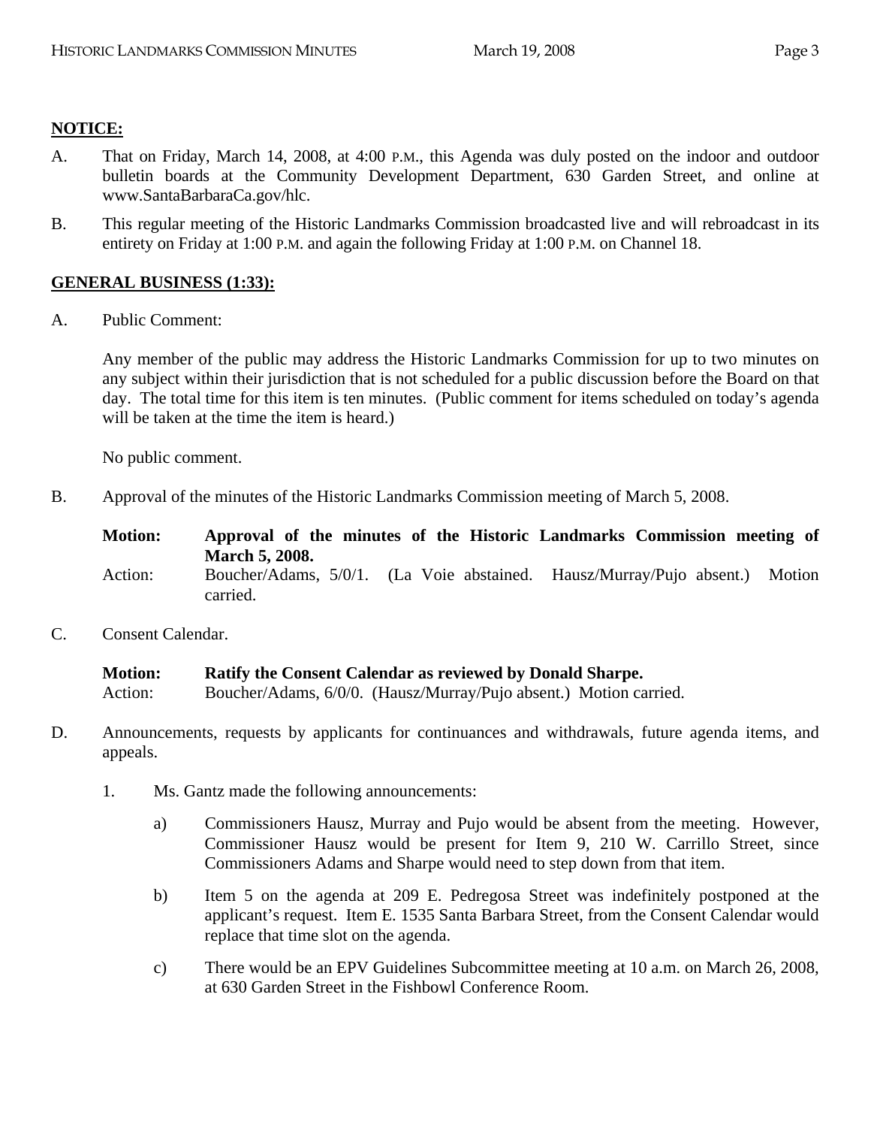### **NOTICE:**

- A. That on Friday, March 14, 2008, at 4:00 P.M., this Agenda was duly posted on the indoor and outdoor bulletin boards at the Community Development Department, 630 Garden Street, and online at www.SantaBarbaraCa.gov/hlc.
- B. This regular meeting of the Historic Landmarks Commission broadcasted live and will rebroadcast in its entirety on Friday at 1:00 P.M. and again the following Friday at 1:00 P.M. on Channel 18.

### **GENERAL BUSINESS (1:33):**

A. Public Comment:

Any member of the public may address the Historic Landmarks Commission for up to two minutes on any subject within their jurisdiction that is not scheduled for a public discussion before the Board on that day. The total time for this item is ten minutes. (Public comment for items scheduled on today's agenda will be taken at the time the item is heard.)

No public comment.

B. Approval of the minutes of the Historic Landmarks Commission meeting of March 5, 2008.

**Motion: Approval of the minutes of the Historic Landmarks Commission meeting of March 5, 2008.** 

- Action: Boucher/Adams, 5/0/1. (La Voie abstained. Hausz/Murray/Pujo absent.) Motion carried.
- C. Consent Calendar.

| <b>Motion:</b> | Ratify the Consent Calendar as reviewed by Donald Sharpe.         |  |
|----------------|-------------------------------------------------------------------|--|
| Action:        | Boucher/Adams, 6/0/0. (Hausz/Murray/Pujo absent.) Motion carried. |  |

- D. Announcements, requests by applicants for continuances and withdrawals, future agenda items, and appeals.
	- 1. Ms. Gantz made the following announcements:
		- a) Commissioners Hausz, Murray and Pujo would be absent from the meeting. However, Commissioner Hausz would be present for Item 9, 210 W. Carrillo Street, since Commissioners Adams and Sharpe would need to step down from that item.
		- b) Item 5 on the agenda at 209 E. Pedregosa Street was indefinitely postponed at the applicant's request. Item E. 1535 Santa Barbara Street, from the Consent Calendar would replace that time slot on the agenda.
		- c) There would be an EPV Guidelines Subcommittee meeting at 10 a.m. on March 26, 2008, at 630 Garden Street in the Fishbowl Conference Room.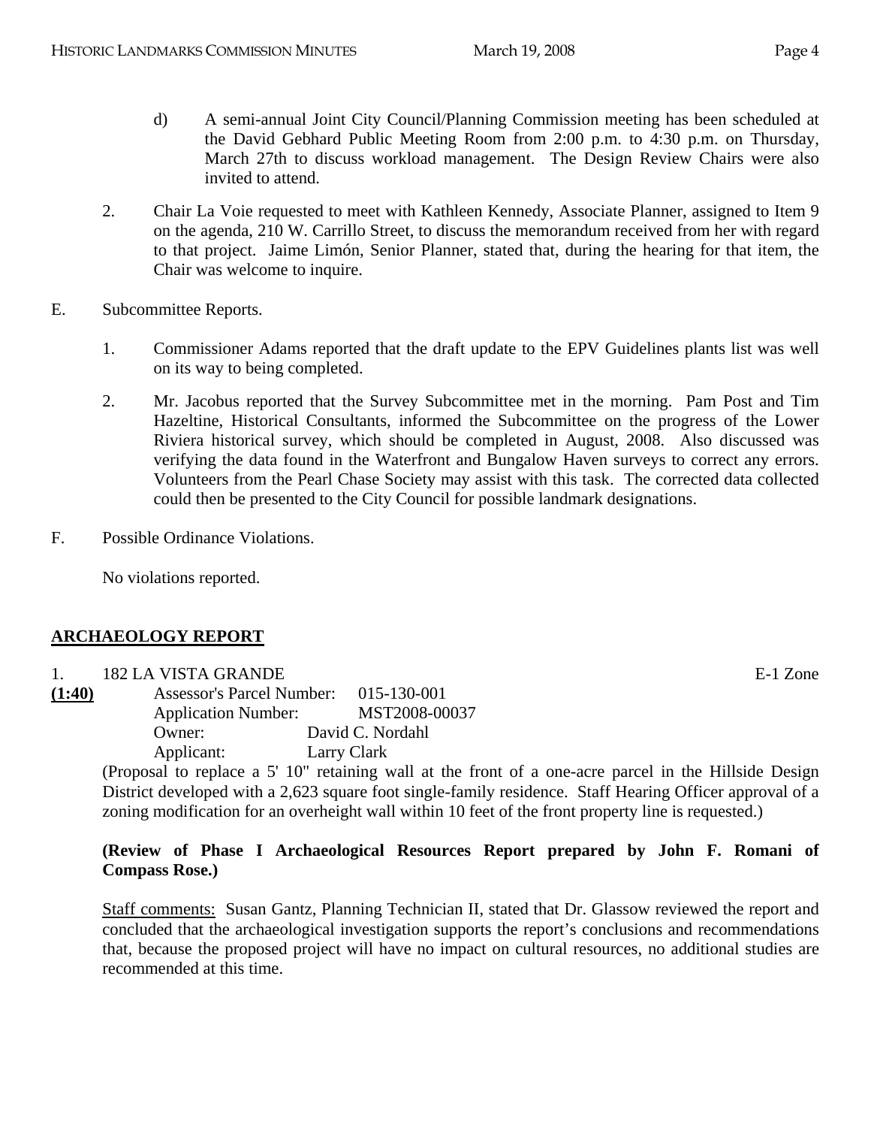- d) A semi-annual Joint City Council/Planning Commission meeting has been scheduled at the David Gebhard Public Meeting Room from 2:00 p.m. to 4:30 p.m. on Thursday, March 27th to discuss workload management. The Design Review Chairs were also invited to attend.
- 2. Chair La Voie requested to meet with Kathleen Kennedy, Associate Planner, assigned to Item 9 on the agenda, 210 W. Carrillo Street, to discuss the memorandum received from her with regard to that project. Jaime Limón, Senior Planner, stated that, during the hearing for that item, the Chair was welcome to inquire.
- E. Subcommittee Reports.
	- 1. Commissioner Adams reported that the draft update to the EPV Guidelines plants list was well on its way to being completed.
	- 2. Mr. Jacobus reported that the Survey Subcommittee met in the morning. Pam Post and Tim Hazeltine, Historical Consultants, informed the Subcommittee on the progress of the Lower Riviera historical survey, which should be completed in August, 2008. Also discussed was verifying the data found in the Waterfront and Bungalow Haven surveys to correct any errors. Volunteers from the Pearl Chase Society may assist with this task. The corrected data collected could then be presented to the City Council for possible landmark designations.
- F. Possible Ordinance Violations.

No violations reported.

### **ARCHAEOLOGY REPORT**

- 1. 182 LA VISTA GRANDE E-1 Zone
- **(1:40)** Assessor's Parcel Number: 015-130-001 Application Number: MST2008-00037 Owner: David C. Nordahl Applicant: Larry Clark

(Proposal to replace a 5' 10" retaining wall at the front of a one-acre parcel in the Hillside Design District developed with a 2,623 square foot single-family residence. Staff Hearing Officer approval of a zoning modification for an overheight wall within 10 feet of the front property line is requested.)

### **(Review of Phase I Archaeological Resources Report prepared by John F. Romani of Compass Rose.)**

Staff comments: Susan Gantz, Planning Technician II, stated that Dr. Glassow reviewed the report and concluded that the archaeological investigation supports the report's conclusions and recommendations that, because the proposed project will have no impact on cultural resources, no additional studies are recommended at this time.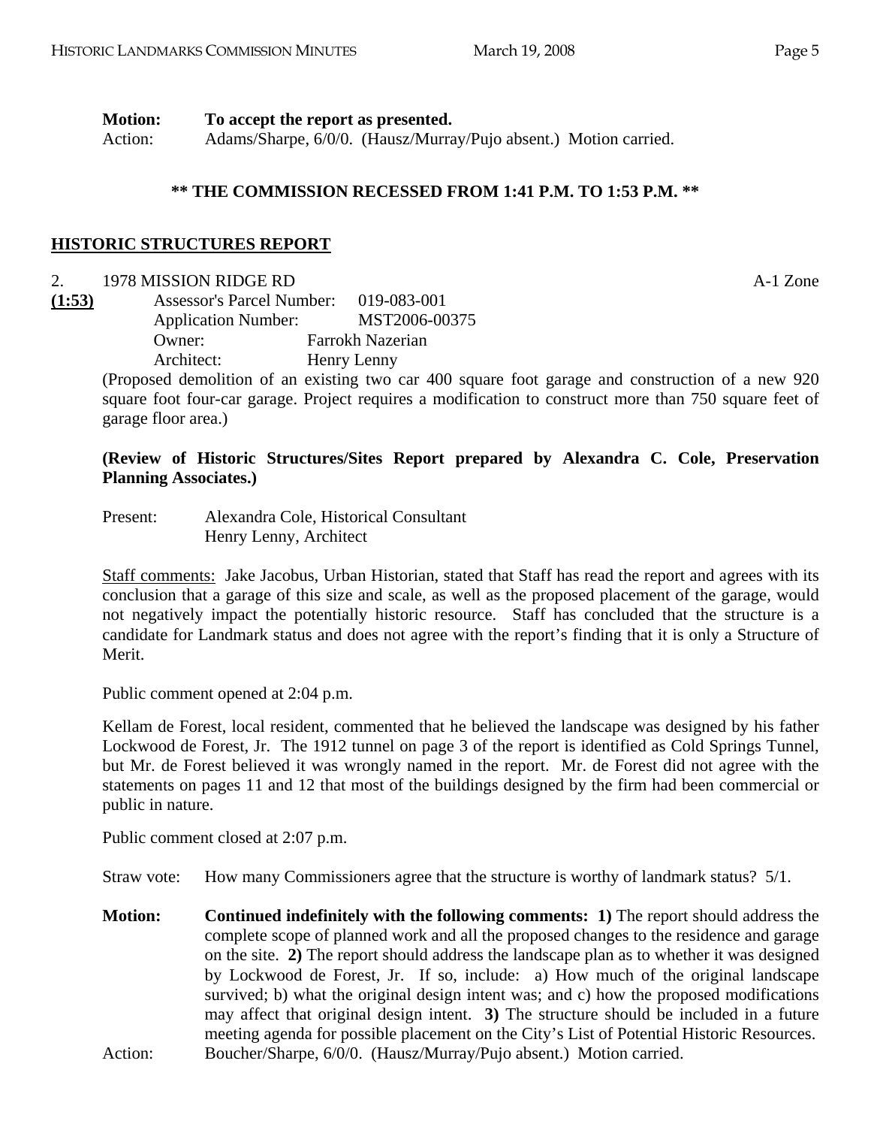**Motion: To accept the report as presented.**  Action: Adams/Sharpe, 6/0/0. (Hausz/Murray/Pujo absent.) Motion carried.

### **\*\* THE COMMISSION RECESSED FROM 1:41 P.M. TO 1:53 P.M. \*\***

# **HISTORIC STRUCTURES REPORT**

### 2. 1978 MISSION RIDGE RD A-1 Zone

**(1:53)** Assessor's Parcel Number: 019-083-001 Application Number: MST2006-00375 Owner: Farrokh Nazerian Architect: Henry Lenny

> (Proposed demolition of an existing two car 400 square foot garage and construction of a new 920 square foot four-car garage. Project requires a modification to construct more than 750 square feet of garage floor area.)

### **(Review of Historic Structures/Sites Report prepared by Alexandra C. Cole, Preservation Planning Associates.)**

Present: Alexandra Cole, Historical Consultant Henry Lenny, Architect

Staff comments: Jake Jacobus, Urban Historian, stated that Staff has read the report and agrees with its conclusion that a garage of this size and scale, as well as the proposed placement of the garage, would not negatively impact the potentially historic resource. Staff has concluded that the structure is a candidate for Landmark status and does not agree with the report's finding that it is only a Structure of Merit.

Public comment opened at 2:04 p.m.

Kellam de Forest, local resident, commented that he believed the landscape was designed by his father Lockwood de Forest, Jr. The 1912 tunnel on page 3 of the report is identified as Cold Springs Tunnel, but Mr. de Forest believed it was wrongly named in the report. Mr. de Forest did not agree with the statements on pages 11 and 12 that most of the buildings designed by the firm had been commercial or public in nature.

Public comment closed at 2:07 p.m.

Straw vote: How many Commissioners agree that the structure is worthy of landmark status? 5/1.

**Motion: Continued indefinitely with the following comments: 1)** The report should address the complete scope of planned work and all the proposed changes to the residence and garage on the site. **2)** The report should address the landscape plan as to whether it was designed by Lockwood de Forest, Jr. If so, include: a) How much of the original landscape survived; b) what the original design intent was; and c) how the proposed modifications may affect that original design intent. **3)** The structure should be included in a future meeting agenda for possible placement on the City's List of Potential Historic Resources. Action: Boucher/Sharpe, 6/0/0. (Hausz/Murray/Pujo absent.) Motion carried.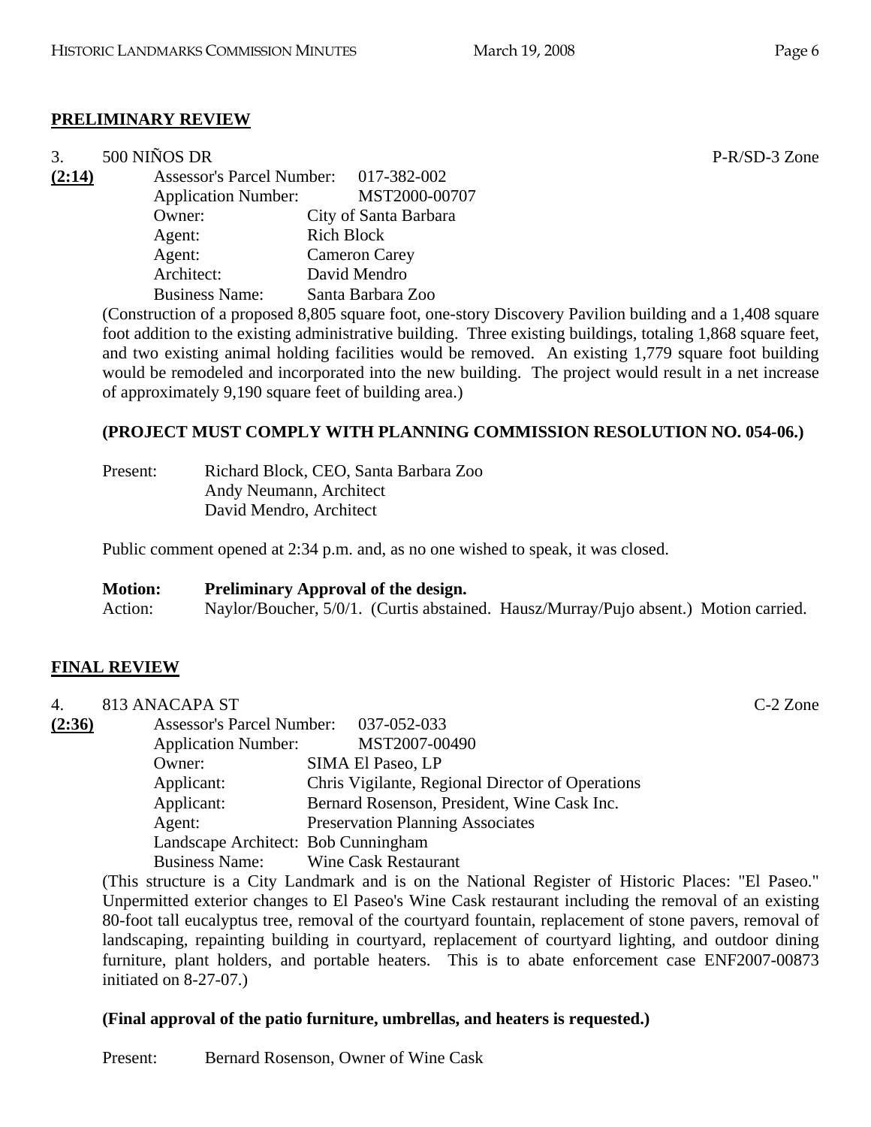#### **PRELIMINARY REVIEW**

| 3.     | 500 NIÑOS DR               |                                       |  |  |
|--------|----------------------------|---------------------------------------|--|--|
| (2:14) |                            | Assessor's Parcel Number: 017-382-002 |  |  |
|        | <b>Application Number:</b> | MST2000-00707                         |  |  |
|        | Owner:                     | City of Santa Barbara                 |  |  |
|        | Agent:                     | <b>Rich Block</b>                     |  |  |
|        | Agent:                     | <b>Cameron Carey</b>                  |  |  |
|        | Architect:                 | David Mendro                          |  |  |
|        | <b>Business Name:</b>      | Santa Barbara Zoo                     |  |  |

(Construction of a proposed 8,805 square foot, one-story Discovery Pavilion building and a 1,408 square foot addition to the existing administrative building. Three existing buildings, totaling 1,868 square feet, and two existing animal holding facilities would be removed. An existing 1,779 square foot building would be remodeled and incorporated into the new building. The project would result in a net increase of approximately 9,190 square feet of building area.)

### **(PROJECT MUST COMPLY WITH PLANNING COMMISSION RESOLUTION NO. 054-06.)**

| Present: | Richard Block, CEO, Santa Barbara Zoo |
|----------|---------------------------------------|
|          | Andy Neumann, Architect               |
|          | David Mendro, Architect               |

Public comment opened at 2:34 p.m. and, as no one wished to speak, it was closed.

| <b>Motion:</b> | <b>Preliminary Approval of the design.</b> |  |                                                                                      |  |
|----------------|--------------------------------------------|--|--------------------------------------------------------------------------------------|--|
| Action:        |                                            |  | Naylor/Boucher, 5/0/1. (Curtis abstained. Hausz/Murray/Pujo absent.) Motion carried. |  |

### **FINAL REVIEW**

| 4.     | 813 ANACAPA ST                                    |                                                                                                    | $C-2$ Zone |
|--------|---------------------------------------------------|----------------------------------------------------------------------------------------------------|------------|
| (2:36) | <b>Assessor's Parcel Number:</b>                  | 037-052-033                                                                                        |            |
|        | <b>Application Number:</b>                        | MST2007-00490                                                                                      |            |
|        | Owner:                                            | SIMA El Paseo, LP                                                                                  |            |
|        | Applicant:                                        | Chris Vigilante, Regional Director of Operations                                                   |            |
|        | Applicant:                                        | Bernard Rosenson, President, Wine Cask Inc.                                                        |            |
|        | <b>Preservation Planning Associates</b><br>Agent: |                                                                                                    |            |
|        | Landscape Architect: Bob Cunningham               |                                                                                                    |            |
|        | <b>Business Name:</b>                             | <b>Wine Cask Restaurant</b>                                                                        |            |
|        |                                                   | (This structure is a City Landmark and is on the National Register of Historic Places: "El Paseo." |            |

Unpermitted exterior changes to El Paseo's Wine Cask restaurant including the removal of an existing 80-foot tall eucalyptus tree, removal of the courtyard fountain, replacement of stone pavers, removal of landscaping, repainting building in courtyard, replacement of courtyard lighting, and outdoor dining furniture, plant holders, and portable heaters. This is to abate enforcement case ENF2007-00873 initiated on 8-27-07.)

### **(Final approval of the patio furniture, umbrellas, and heaters is requested.)**

Present: Bernard Rosenson, Owner of Wine Cask

P-R/SD-3 Zone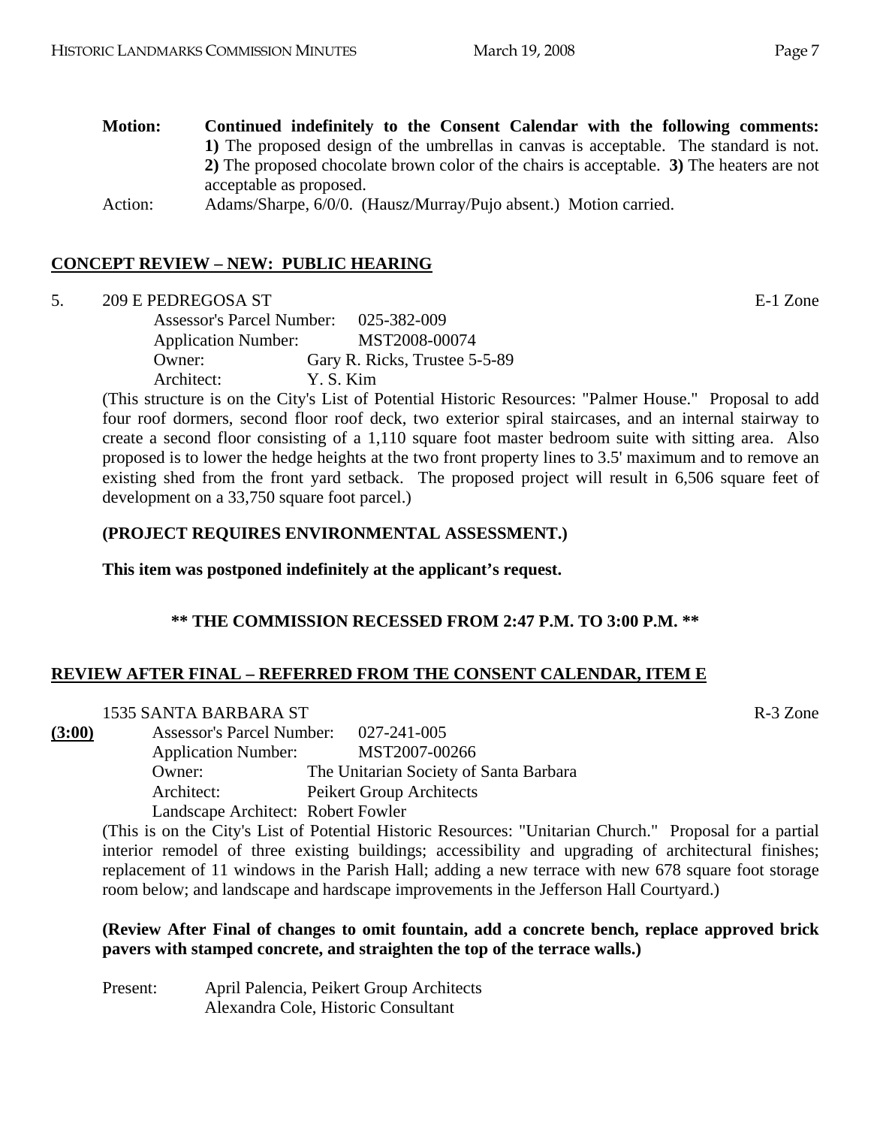Action: Adams/Sharpe, 6/0/0. (Hausz/Murray/Pujo absent.) Motion carried.

# **CONCEPT REVIEW – NEW: PUBLIC HEARING**

5. 209 E PEDREGOSA ST

| <b>Assessor's Parcel Number:</b> | 025-382-009                   |
|----------------------------------|-------------------------------|
| <b>Application Number:</b>       | MST2008-00074                 |
| Owner:                           | Gary R. Ricks, Trustee 5-5-89 |
| Architect:                       | Y. S. Kim                     |
|                                  |                               |

(This structure is on the City's List of Potential Historic Resources: "Palmer House." Proposal to add four roof dormers, second floor roof deck, two exterior spiral staircases, and an internal stairway to create a second floor consisting of a 1,110 square foot master bedroom suite with sitting area. Also proposed is to lower the hedge heights at the two front property lines to 3.5' maximum and to remove an existing shed from the front yard setback. The proposed project will result in 6,506 square feet of development on a 33,750 square foot parcel.)

### **(PROJECT REQUIRES ENVIRONMENTAL ASSESSMENT.)**

**This item was postponed indefinitely at the applicant's request.** 

# **\*\* THE COMMISSION RECESSED FROM 2:47 P.M. TO 3:00 P.M. \*\***

### **REVIEW AFTER FINAL – REFERRED FROM THE CONSENT CALENDAR, ITEM E**

#### 1535 SANTA BARBARA ST R-3 Zone

**(3:00)** Assessor's Parcel Number: 027-241-005 Application Number: MST2007-00266 Owner: The Unitarian Society of Santa Barbara Architect: Peikert Group Architects Landscape Architect: Robert Fowler

(This is on the City's List of Potential Historic Resources: "Unitarian Church." Proposal for a partial interior remodel of three existing buildings; accessibility and upgrading of architectural finishes; replacement of 11 windows in the Parish Hall; adding a new terrace with new 678 square foot storage room below; and landscape and hardscape improvements in the Jefferson Hall Courtyard.)

#### **(Review After Final of changes to omit fountain, add a concrete bench, replace approved brick pavers with stamped concrete, and straighten the top of the terrace walls.)**

Present: April Palencia, Peikert Group Architects Alexandra Cole, Historic Consultant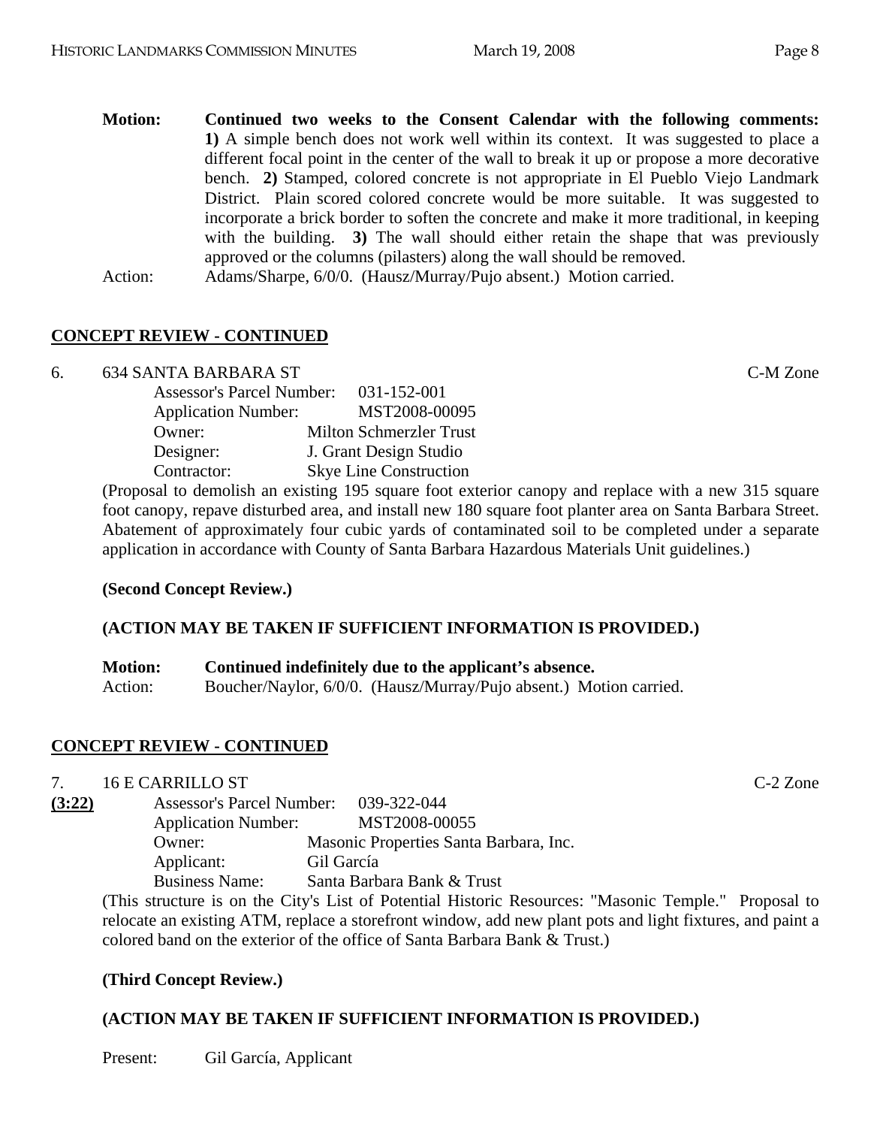**Motion: Continued two weeks to the Consent Calendar with the following comments: 1)** A simple bench does not work well within its context. It was suggested to place a different focal point in the center of the wall to break it up or propose a more decorative bench. **2)** Stamped, colored concrete is not appropriate in El Pueblo Viejo Landmark District. Plain scored colored concrete would be more suitable. It was suggested to incorporate a brick border to soften the concrete and make it more traditional, in keeping with the building. **3)** The wall should either retain the shape that was previously approved or the columns (pilasters) along the wall should be removed. Action: Adams/Sharpe, 6/0/0. (Hausz/Murray/Pujo absent.) Motion carried.

### **CONCEPT REVIEW - CONTINUED**

### 6. 634 SANTA BARBARA ST C-M Zone

| <b>Assessor's Parcel Number:</b> | 031-152-001                    |
|----------------------------------|--------------------------------|
| <b>Application Number:</b>       | MST2008-00095                  |
| Owner:                           | <b>Milton Schmerzler Trust</b> |
| Designer:                        | J. Grant Design Studio         |
| Contractor:                      | <b>Skye Line Construction</b>  |
|                                  |                                |

(Proposal to demolish an existing 195 square foot exterior canopy and replace with a new 315 square foot canopy, repave disturbed area, and install new 180 square foot planter area on Santa Barbara Street. Abatement of approximately four cubic yards of contaminated soil to be completed under a separate application in accordance with County of Santa Barbara Hazardous Materials Unit guidelines.)

# **(Second Concept Review.)**

# **(ACTION MAY BE TAKEN IF SUFFICIENT INFORMATION IS PROVIDED.)**

| <b>Motion:</b> | Continued indefinitely due to the applicant's absence.             |
|----------------|--------------------------------------------------------------------|
| Action:        | Boucher/Naylor, 6/0/0. (Hausz/Murray/Pujo absent.) Motion carried. |

# **CONCEPT REVIEW - CONTINUED**

7. 16 E CARRILLO ST C-2 Zone

**(3:22)** Assessor's Parcel Number: 039-322-044 Application Number: MST2008-00055 Owner: Masonic Properties Santa Barbara, Inc. Applicant: Gil García Business Name: Santa Barbara Bank & Trust

(This structure is on the City's List of Potential Historic Resources: "Masonic Temple." Proposal to relocate an existing ATM, replace a storefront window, add new plant pots and light fixtures, and paint a colored band on the exterior of the office of Santa Barbara Bank & Trust.)

# **(Third Concept Review.)**

# **(ACTION MAY BE TAKEN IF SUFFICIENT INFORMATION IS PROVIDED.)**

Present: Gil García, Applicant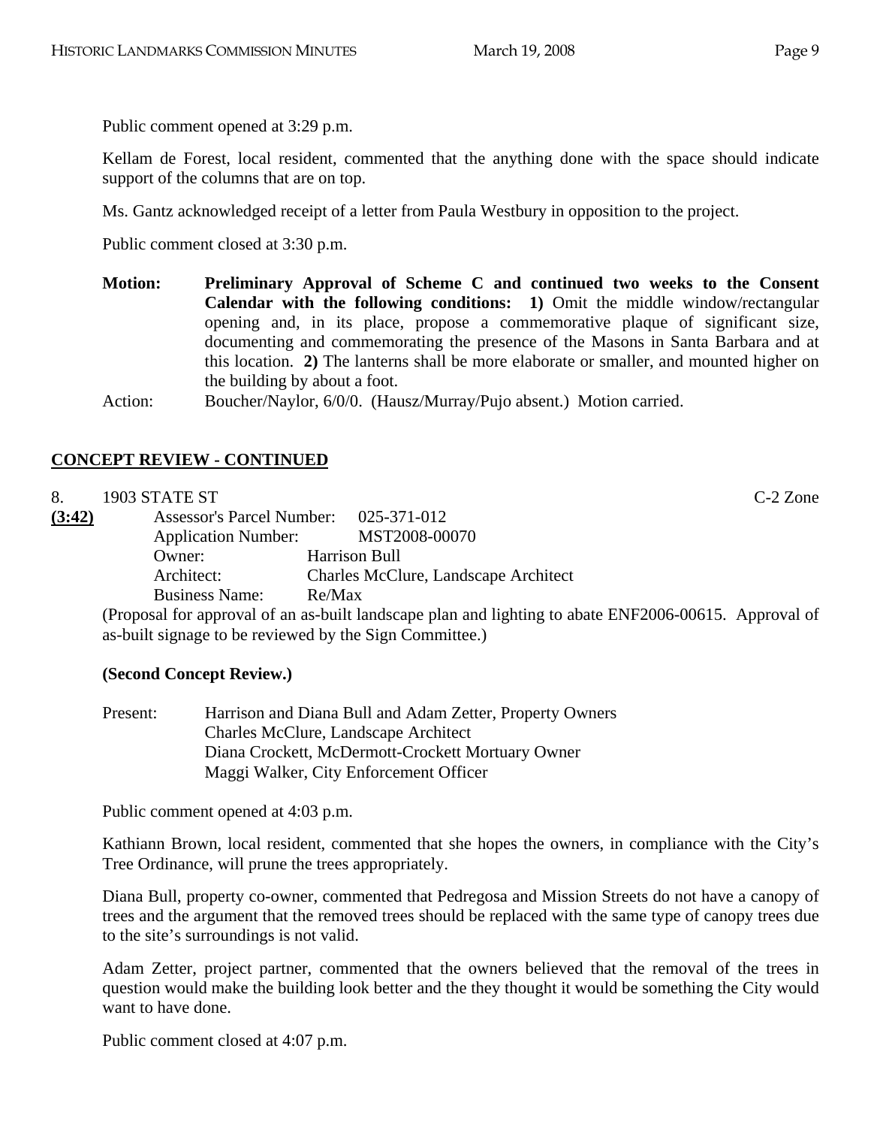Public comment opened at 3:29 p.m.

Kellam de Forest, local resident, commented that the anything done with the space should indicate support of the columns that are on top.

Ms. Gantz acknowledged receipt of a letter from Paula Westbury in opposition to the project.

Public comment closed at 3:30 p.m.

**Motion: Preliminary Approval of Scheme C and continued two weeks to the Consent Calendar with the following conditions: 1)** Omit the middle window/rectangular opening and, in its place, propose a commemorative plaque of significant size, documenting and commemorating the presence of the Masons in Santa Barbara and at this location. **2)** The lanterns shall be more elaborate or smaller, and mounted higher on the building by about a foot.

Action: Boucher/Naylor, 6/0/0. (Hausz/Murray/Pujo absent.) Motion carried.

### **CONCEPT REVIEW - CONTINUED**

| 1903 STATE ST | $C-2$ Zone |
|---------------|------------|
|---------------|------------|

| (3:42) |                            | Assessor's Parcel Number: 025-371-012                                                                 |
|--------|----------------------------|-------------------------------------------------------------------------------------------------------|
|        | <b>Application Number:</b> | MST2008-00070                                                                                         |
|        | Owner:                     | Harrison Bull                                                                                         |
|        | Architect:                 | <b>Charles McClure, Landscape Architect</b>                                                           |
|        | <b>Business Name:</b>      | Re/Max                                                                                                |
|        |                            | (Proposal for approval of an as-built landscape plan and lighting to abate ENF2006-00615. Approval of |
|        |                            | as-built signage to be reviewed by the Sign Committee.)                                               |

**(Second Concept Review.)** 

| Present: | Harrison and Diana Bull and Adam Zetter, Property Owners |
|----------|----------------------------------------------------------|
|          | Charles McClure, Landscape Architect                     |
|          | Diana Crockett, McDermott-Crockett Mortuary Owner        |
|          | Maggi Walker, City Enforcement Officer                   |

Public comment opened at 4:03 p.m.

Kathiann Brown, local resident, commented that she hopes the owners, in compliance with the City's Tree Ordinance, will prune the trees appropriately.

Diana Bull, property co-owner, commented that Pedregosa and Mission Streets do not have a canopy of trees and the argument that the removed trees should be replaced with the same type of canopy trees due to the site's surroundings is not valid.

Adam Zetter, project partner, commented that the owners believed that the removal of the trees in question would make the building look better and the they thought it would be something the City would want to have done.

Public comment closed at 4:07 p.m.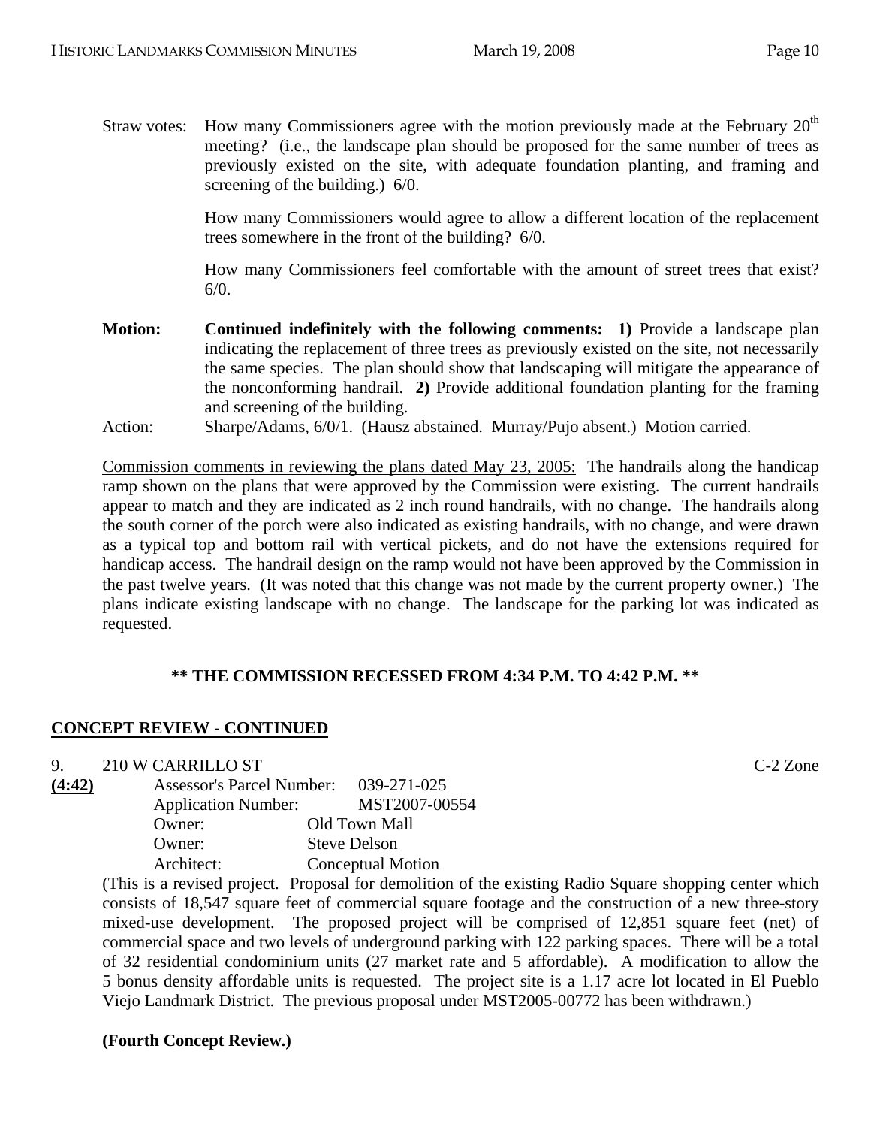Straw votes: How many Commissioners agree with the motion previously made at the February  $20<sup>th</sup>$ meeting? (i.e., the landscape plan should be proposed for the same number of trees as previously existed on the site, with adequate foundation planting, and framing and screening of the building.) 6/0.

> How many Commissioners would agree to allow a different location of the replacement trees somewhere in the front of the building? 6/0.

> How many Commissioners feel comfortable with the amount of street trees that exist? 6/0.

**Motion: Continued indefinitely with the following comments: 1)** Provide a landscape plan indicating the replacement of three trees as previously existed on the site, not necessarily the same species. The plan should show that landscaping will mitigate the appearance of the nonconforming handrail. **2)** Provide additional foundation planting for the framing and screening of the building.

Action: Sharpe/Adams, 6/0/1. (Hausz abstained. Murray/Pujo absent.) Motion carried.

Commission comments in reviewing the plans dated May 23, 2005: The handrails along the handicap ramp shown on the plans that were approved by the Commission were existing. The current handrails appear to match and they are indicated as 2 inch round handrails, with no change. The handrails along the south corner of the porch were also indicated as existing handrails, with no change, and were drawn as a typical top and bottom rail with vertical pickets, and do not have the extensions required for handicap access. The handrail design on the ramp would not have been approved by the Commission in the past twelve years. (It was noted that this change was not made by the current property owner.) The plans indicate existing landscape with no change. The landscape for the parking lot was indicated as requested.

### **\*\* THE COMMISSION RECESSED FROM 4:34 P.M. TO 4:42 P.M. \*\***

### **CONCEPT REVIEW - CONTINUED**

9. 210 W CARRILLO ST C-2 Zone

| <b>Assessor's Parcel Number:</b> | 039-271-025         |
|----------------------------------|---------------------|
| <b>Application Number:</b>       | MST2007-00554       |
| Owner:                           | Old Town Mall       |
| Owner:                           | <b>Steve Delson</b> |
| Architect:                       | Conceptual Motion   |
|                                  |                     |

(This is a revised project. Proposal for demolition of the existing Radio Square shopping center which consists of 18,547 square feet of commercial square footage and the construction of a new three-story mixed-use development. The proposed project will be comprised of 12,851 square feet (net) of commercial space and two levels of underground parking with 122 parking spaces. There will be a total of 32 residential condominium units (27 market rate and 5 affordable). A modification to allow the 5 bonus density affordable units is requested. The project site is a 1.17 acre lot located in El Pueblo Viejo Landmark District. The previous proposal under MST2005-00772 has been withdrawn.)

#### **(Fourth Concept Review.)**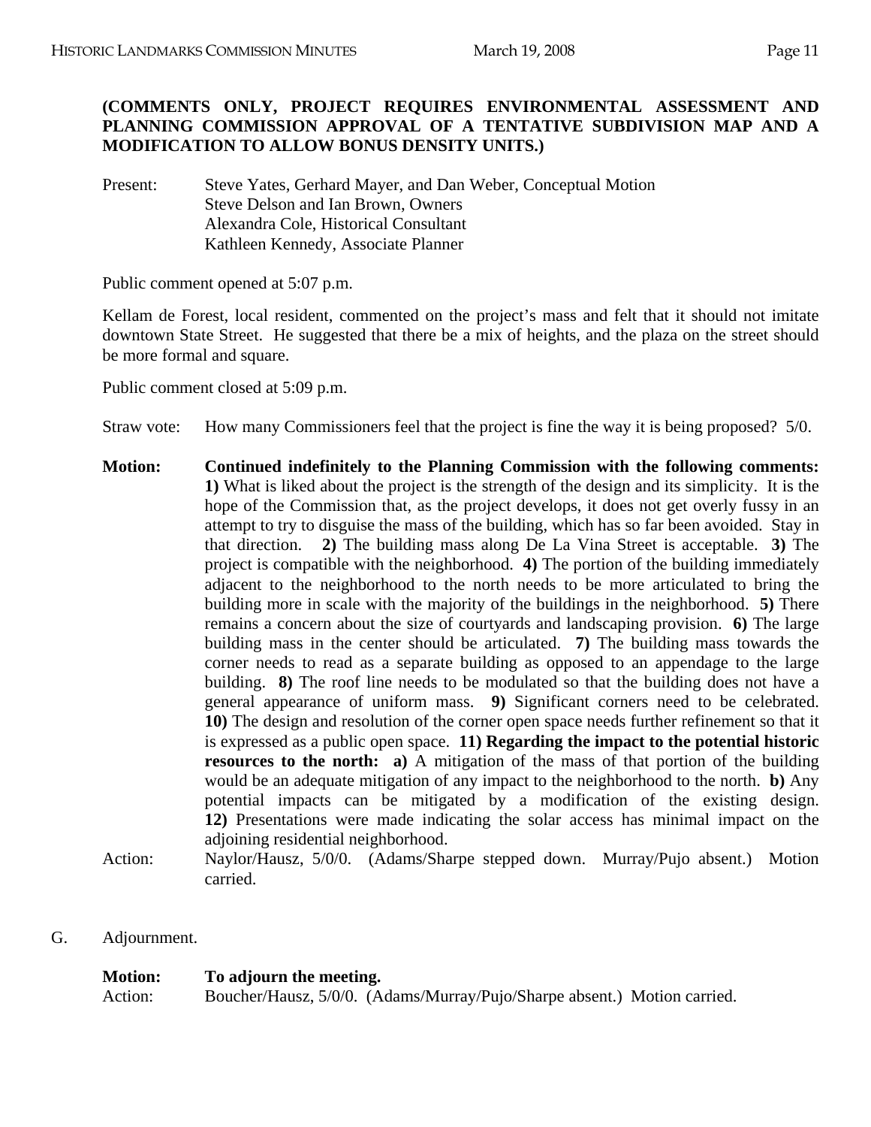### **(COMMENTS ONLY, PROJECT REQUIRES ENVIRONMENTAL ASSESSMENT AND PLANNING COMMISSION APPROVAL OF A TENTATIVE SUBDIVISION MAP AND A MODIFICATION TO ALLOW BONUS DENSITY UNITS.)**

Present: Steve Yates, Gerhard Mayer, and Dan Weber, Conceptual Motion Steve Delson and Ian Brown, Owners Alexandra Cole, Historical Consultant Kathleen Kennedy, Associate Planner

Public comment opened at 5:07 p.m.

Kellam de Forest, local resident, commented on the project's mass and felt that it should not imitate downtown State Street. He suggested that there be a mix of heights, and the plaza on the street should be more formal and square.

Public comment closed at 5:09 p.m.

Straw vote: How many Commissioners feel that the project is fine the way it is being proposed? 5/0.

- **Motion: Continued indefinitely to the Planning Commission with the following comments: 1)** What is liked about the project is the strength of the design and its simplicity. It is the hope of the Commission that, as the project develops, it does not get overly fussy in an attempt to try to disguise the mass of the building, which has so far been avoided. Stay in that direction. **2)** The building mass along De La Vina Street is acceptable. **3)** The project is compatible with the neighborhood. **4)** The portion of the building immediately adjacent to the neighborhood to the north needs to be more articulated to bring the building more in scale with the majority of the buildings in the neighborhood. **5)** There remains a concern about the size of courtyards and landscaping provision. **6)** The large building mass in the center should be articulated. **7)** The building mass towards the corner needs to read as a separate building as opposed to an appendage to the large building. **8)** The roof line needs to be modulated so that the building does not have a general appearance of uniform mass. **9)** Significant corners need to be celebrated. **10)** The design and resolution of the corner open space needs further refinement so that it is expressed as a public open space. **11) Regarding the impact to the potential historic resources to the north:** a) A mitigation of the mass of that portion of the building would be an adequate mitigation of any impact to the neighborhood to the north. **b)** Any potential impacts can be mitigated by a modification of the existing design. **12)** Presentations were made indicating the solar access has minimal impact on the adjoining residential neighborhood.
- Action: Naylor/Hausz, 5/0/0. (Adams/Sharpe stepped down. Murray/Pujo absent.) Motion carried.
- G. Adjournment.

| <b>Motion:</b> | To adjourn the meeting.                                                  |
|----------------|--------------------------------------------------------------------------|
| Action:        | Boucher/Hausz, 5/0/0. (Adams/Murray/Pujo/Sharpe absent.) Motion carried. |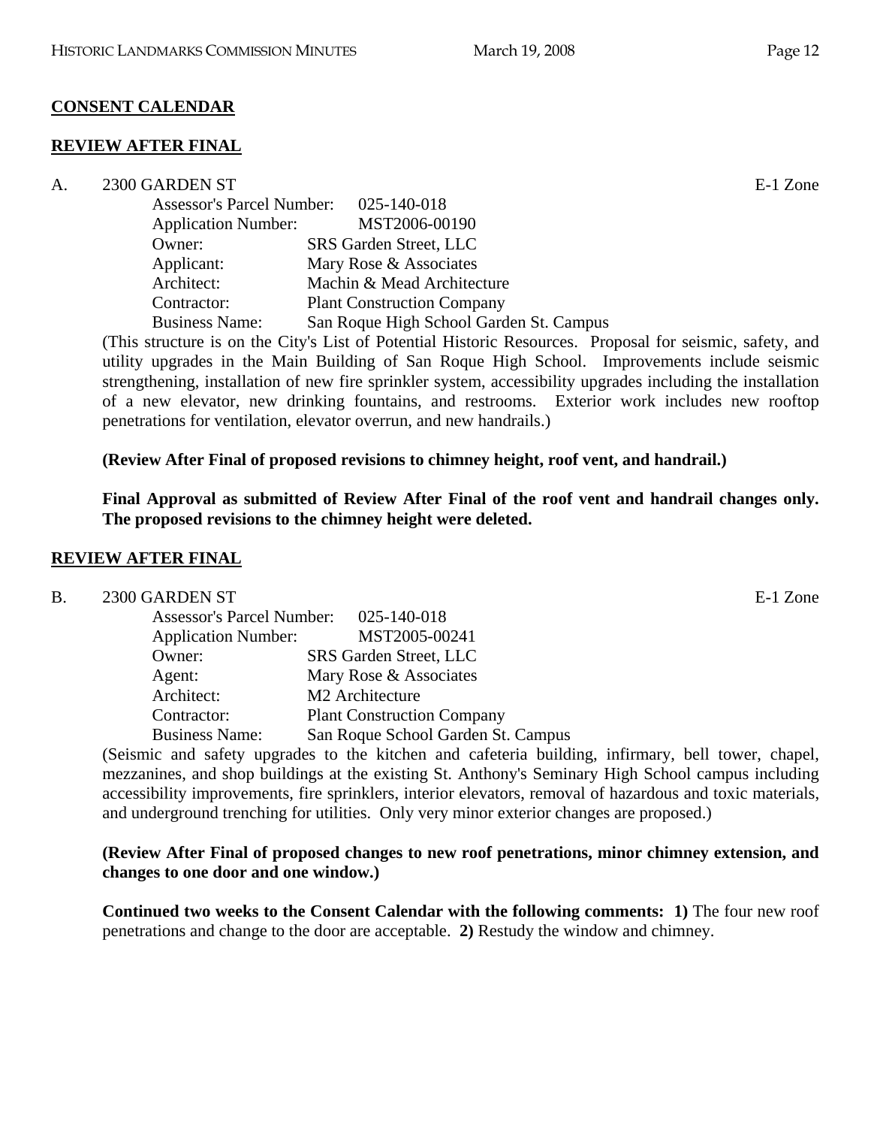# **CONSENT CALENDAR**

### **REVIEW AFTER FINAL**

| A. | 2300 GARDEN ST                   |                                         | E-1 Zone |
|----|----------------------------------|-----------------------------------------|----------|
|    | <b>Assessor's Parcel Number:</b> | 025-140-018                             |          |
|    | <b>Application Number:</b>       | MST2006-00190                           |          |
|    | Owner:                           | <b>SRS Garden Street, LLC</b>           |          |
|    | Applicant:                       | Mary Rose & Associates                  |          |
|    | Architect:                       | Machin & Mead Architecture              |          |
|    | Contractor:                      | <b>Plant Construction Company</b>       |          |
|    | <b>Business Name:</b>            | San Roque High School Garden St. Campus |          |
|    |                                  |                                         |          |

(This structure is on the City's List of Potential Historic Resources. Proposal for seismic, safety, and utility upgrades in the Main Building of San Roque High School. Improvements include seismic strengthening, installation of new fire sprinkler system, accessibility upgrades including the installation of a new elevator, new drinking fountains, and restrooms. Exterior work includes new rooftop penetrations for ventilation, elevator overrun, and new handrails.)

### **(Review After Final of proposed revisions to chimney height, roof vent, and handrail.)**

**Final Approval as submitted of Review After Final of the roof vent and handrail changes only. The proposed revisions to the chimney height were deleted.** 

# **REVIEW AFTER FINAL**

# B. 2300 GARDEN ST E-1 Zone

|            |                            | Assessor's Parcel Number: 025-140-018 |
|------------|----------------------------|---------------------------------------|
|            | <b>Application Number:</b> | MST2005-00241                         |
| Owner:     |                            | SRS Garden Street, LLC                |
| Agent:     |                            | Mary Rose & Associates                |
| Architect: |                            | M <sub>2</sub> Architecture           |
|            | Contractor:                | <b>Plant Construction Company</b>     |
|            | <b>Business Name:</b>      | San Roque School Garden St. Campus    |
|            |                            |                                       |

(Seismic and safety upgrades to the kitchen and cafeteria building, infirmary, bell tower, chapel, mezzanines, and shop buildings at the existing St. Anthony's Seminary High School campus including accessibility improvements, fire sprinklers, interior elevators, removal of hazardous and toxic materials, and underground trenching for utilities. Only very minor exterior changes are proposed.)

### **(Review After Final of proposed changes to new roof penetrations, minor chimney extension, and changes to one door and one window.)**

**Continued two weeks to the Consent Calendar with the following comments: 1)** The four new roof penetrations and change to the door are acceptable. **2)** Restudy the window and chimney.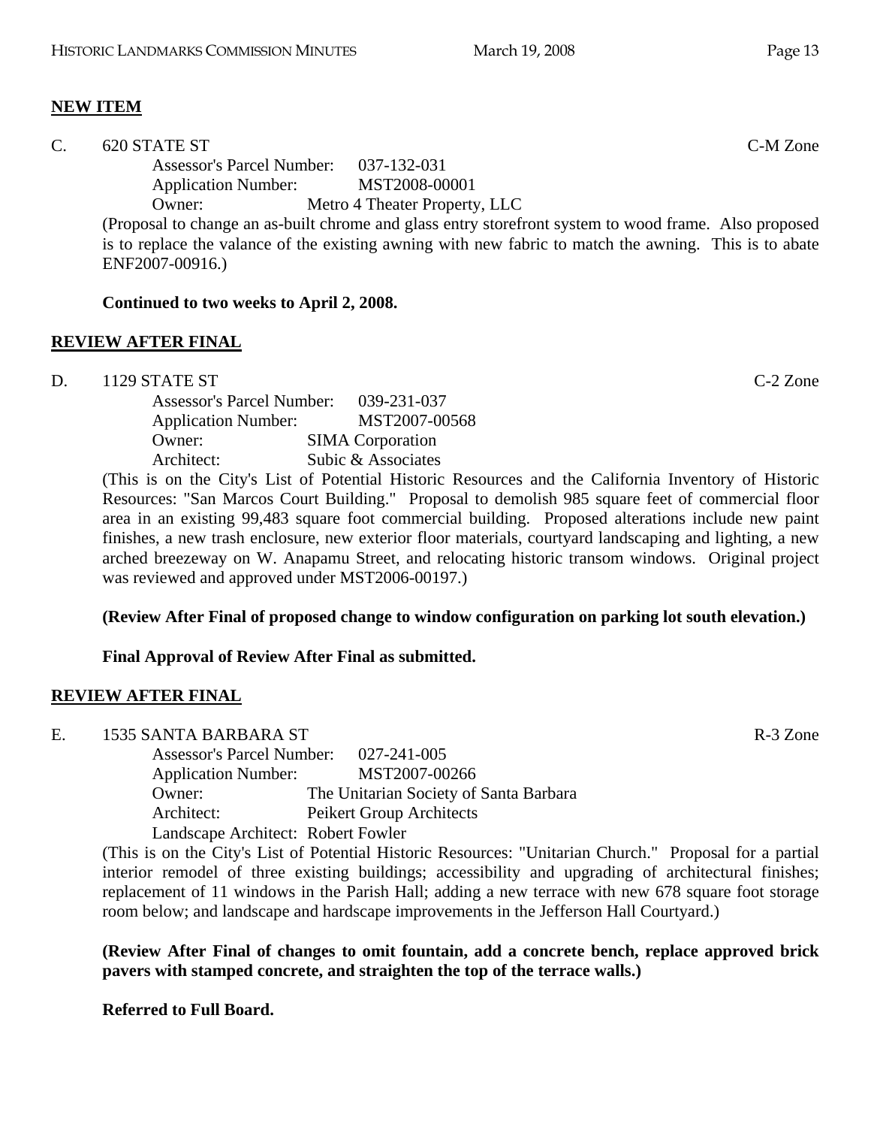### **NEW ITEM**

| $\mathbf{C}$ . | 620 STATE ST                          | C-M Zone                                                                                               |
|----------------|---------------------------------------|--------------------------------------------------------------------------------------------------------|
|                | Assessor's Parcel Number: 037-132-031 |                                                                                                        |
|                | <b>Application Number:</b>            | MST2008-00001                                                                                          |
|                | Owner:                                | Metro 4 Theater Property, LLC                                                                          |
|                |                                       | (Proposal to change an as-built chrome and glass entry storefront system to wood frame. Also proposed  |
|                |                                       | is to replace the valance of the existing awning with new fabric to match the awning. This is to abate |
|                | ENF2007-00916.)                       |                                                                                                        |

#### **Continued to two weeks to April 2, 2008.**

#### **REVIEW AFTER FINAL**

D. 1129 STATE ST C-2 Zone

| <b>Assessor's Parcel Number:</b> | 039-231-037             |
|----------------------------------|-------------------------|
| <b>Application Number:</b>       | MST2007-00568           |
| Owner:                           | <b>SIMA</b> Corporation |
| Architect:                       | Subic & Associates      |
|                                  |                         |

(This is on the City's List of Potential Historic Resources and the California Inventory of Historic Resources: "San Marcos Court Building." Proposal to demolish 985 square feet of commercial floor area in an existing 99,483 square foot commercial building. Proposed alterations include new paint finishes, a new trash enclosure, new exterior floor materials, courtyard landscaping and lighting, a new arched breezeway on W. Anapamu Street, and relocating historic transom windows. Original project was reviewed and approved under MST2006-00197.)

#### **(Review After Final of proposed change to window configuration on parking lot south elevation.)**

#### **Final Approval of Review After Final as submitted.**

#### **REVIEW AFTER FINAL**

| 1535 SANTA BARBARA ST<br>R-3 Zone<br>E. |
|-----------------------------------------|
|-----------------------------------------|

| <b>Assessor's Parcel Number:</b>   | 027-241-005                            |
|------------------------------------|----------------------------------------|
| <b>Application Number:</b>         | MST2007-00266                          |
| Owner:                             | The Unitarian Society of Santa Barbara |
| Architect:                         | Peikert Group Architects               |
| Landscape Architect: Robert Fowler |                                        |

(This is on the City's List of Potential Historic Resources: "Unitarian Church." Proposal for a partial interior remodel of three existing buildings; accessibility and upgrading of architectural finishes; replacement of 11 windows in the Parish Hall; adding a new terrace with new 678 square foot storage room below; and landscape and hardscape improvements in the Jefferson Hall Courtyard.)

**(Review After Final of changes to omit fountain, add a concrete bench, replace approved brick pavers with stamped concrete, and straighten the top of the terrace walls.)** 

**Referred to Full Board.**